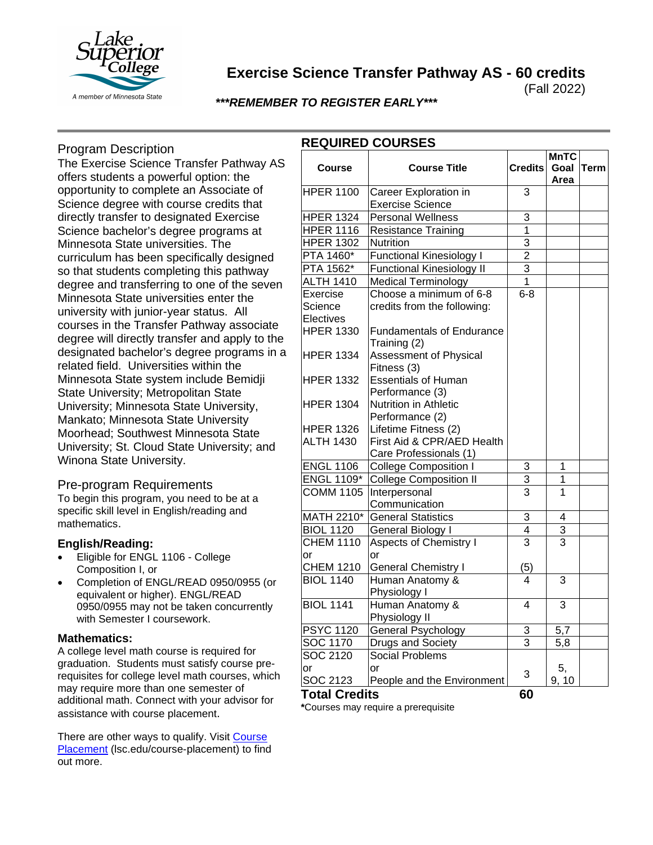

# **Exercise Science Transfer Pathway AS - 60 credits**

(Fall 2022)

# *\*\*\*REMEMBER TO REGISTER EARLY\*\*\**

## Program Description

The Exercise Science Transfer Pathway AS offers students a powerful option: the opportunity to complete an Associate of Science degree with course credits that directly transfer to designated Exercise Science bachelor's degree programs at Minnesota State universities. The curriculum has been specifically designed so that students completing this pathway degree and transferring to one of the seven Minnesota State universities enter the university with junior-year status. All courses in the Transfer Pathway associate degree will directly transfer and apply to the designated bachelor's degree programs in a related field. Universities within the Minnesota State system include Bemidji State University; Metropolitan State University; Minnesota State University, Mankato; Minnesota State University Moorhead; Southwest Minnesota State University; St. Cloud State University; and Winona State University.

### Pre-program Requirements

To begin this program, you need to be at a specific skill level in English/reading and mathematics.

### **English/Reading:**

- Eligible for ENGL 1106 College Composition I, or
- Completion of ENGL/READ 0950/0955 (or equivalent or higher). ENGL/READ 0950/0955 may not be taken concurrently with Semester I coursework.

### **Mathematics:**

A college level math course is required for graduation. Students must satisfy course prerequisites for college level math courses, which may require more than one semester of additional math. Connect with your advisor for assistance with course placement.

There are other ways to qualify. Visit [Course](https://www.lsc.edu/course-placement/)  [Placement](https://www.lsc.edu/course-placement/) (lsc.edu/course-placement) to find out more.

| <b>Course</b>     | <b>Course Title</b>              | <b>Credits</b> | <b>MnTC</b><br>Goal | Term |
|-------------------|----------------------------------|----------------|---------------------|------|
|                   |                                  |                | Area                |      |
| <b>HPER 1100</b>  | Career Exploration in            | 3              |                     |      |
|                   | <b>Exercise Science</b>          |                |                     |      |
| <b>HPER 1324</b>  | <b>Personal Wellness</b>         | $\overline{3}$ |                     |      |
| <b>HPER 1116</b>  | <b>Resistance Training</b>       | $\overline{1}$ |                     |      |
| <b>HPER 1302</b>  | Nutrition                        | $\overline{3}$ |                     |      |
| PTA 1460*         | <b>Functional Kinesiology I</b>  | $\overline{2}$ |                     |      |
| PTA 1562*         | <b>Functional Kinesiology II</b> | $\overline{3}$ |                     |      |
| <b>ALTH 1410</b>  | <b>Medical Terminology</b>       | $\overline{1}$ |                     |      |
| Exercise          | Choose a minimum of 6-8          | $6 - 8$        |                     |      |
| Science           | credits from the following:      |                |                     |      |
| Electives         |                                  |                |                     |      |
| <b>HPER 1330</b>  | <b>Fundamentals of Endurance</b> |                |                     |      |
|                   | Training (2)                     |                |                     |      |
| <b>HPER 1334</b>  | <b>Assessment of Physical</b>    |                |                     |      |
|                   | Fitness (3)                      |                |                     |      |
| <b>HPER 1332</b>  | <b>Essentials of Human</b>       |                |                     |      |
|                   | Performance (3)                  |                |                     |      |
| <b>HPER 1304</b>  | Nutrition in Athletic            |                |                     |      |
|                   | Performance (2)                  |                |                     |      |
| <b>HPER 1326</b>  | Lifetime Fitness (2)             |                |                     |      |
| <b>ALTH 1430</b>  | First Aid & CPR/AED Health       |                |                     |      |
|                   | Care Professionals (1)           |                |                     |      |
| <b>ENGL 1106</b>  | <b>College Composition I</b>     | 3              | 1                   |      |
| <b>ENGL 1109*</b> | <b>College Composition II</b>    | $\overline{3}$ | $\overline{1}$      |      |
| <b>COMM 1105</b>  | Interpersonal                    | $\overline{3}$ | 1                   |      |
|                   | Communication                    |                |                     |      |
| MATH 2210*        | <b>General Statistics</b>        | 3              | 4                   |      |
| <b>BIOL 1120</b>  | General Biology I                | $\overline{4}$ | 3                   |      |
| <b>CHEM 1110</b>  | <b>Aspects of Chemistry I</b>    | 3              | 3                   |      |
| or                | or                               |                |                     |      |
| <b>CHEM 1210</b>  | <b>General Chemistry I</b>       | (5)            |                     |      |
| <b>BIOL 1140</b>  | Human Anatomy &                  | 4              | $\overline{3}$      |      |
|                   | Physiology I                     |                |                     |      |
| <b>BIOL 1141</b>  | Human Anatomy &                  | 4              | 3                   |      |
|                   | Physiology II                    |                |                     |      |
| <b>PSYC 1120</b>  | <b>General Psychology</b>        | 3              | 5,7                 |      |
| <b>SOC 1170</b>   | Drugs and Society                | 3              | 5,8                 |      |
| SOC 2120          | <b>Social Problems</b>           |                |                     |      |
| or                | or                               |                | 5,                  |      |
| SOC 2123          | People and the Environment       | 3              | 9, 10               |      |
| Total Credits     |                                  | 60             |                     |      |

**\***Courses may require a prerequisite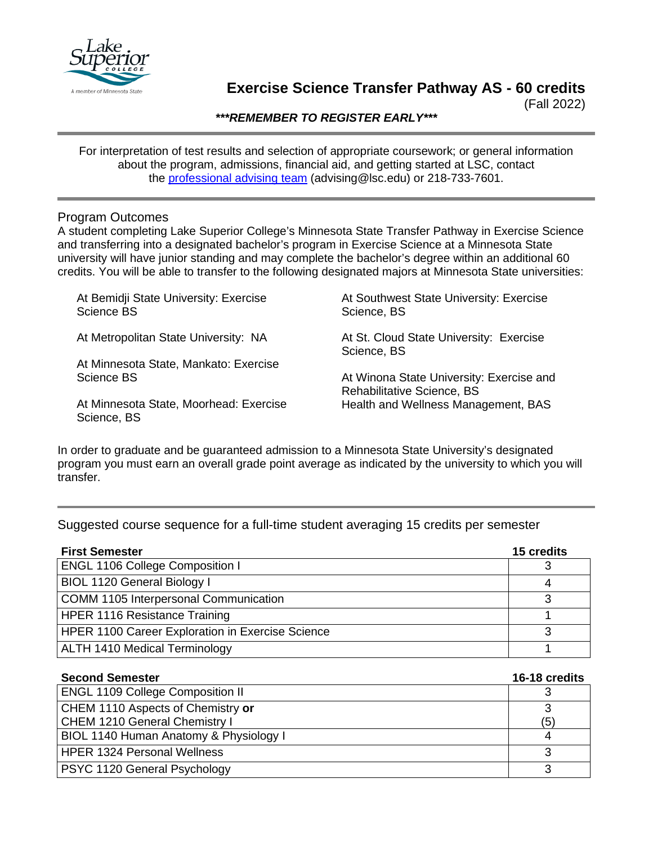

# **Exercise Science Transfer Pathway AS - 60 credits**

(Fall 2022)

*\*\*\*REMEMBER TO REGISTER EARLY\*\*\**

For interpretation of test results and selection of appropriate coursework; or general information about the program, admissions, financial aid, and getting started at LSC, contact the [professional advising team](mailto:advising@lsc.edu) (advising@lsc.edu) or 218-733-7601.

## Program Outcomes

A student completing Lake Superior College's Minnesota State Transfer Pathway in Exercise Science and transferring into a designated bachelor's program in Exercise Science at a Minnesota State university will have junior standing and may complete the bachelor's degree within an additional 60 credits. You will be able to transfer to the following designated majors at Minnesota State universities:

| At Bemidji State University: Exercise<br>Science BS   | At Southwest State University: Exercise<br>Science, BS                 |
|-------------------------------------------------------|------------------------------------------------------------------------|
| At Metropolitan State University: NA                  | At St. Cloud State University: Exercise<br>Science, BS                 |
| At Minnesota State, Mankato: Exercise                 |                                                                        |
| Science BS                                            | At Winona State University: Exercise and<br>Rehabilitative Science, BS |
| At Minnesota State, Moorhead: Exercise<br>Science, BS | Health and Wellness Management, BAS                                    |

In order to graduate and be guaranteed admission to a Minnesota State University's designated program you must earn an overall grade point average as indicated by the university to which you will transfer.

# Suggested course sequence for a full-time student averaging 15 credits per semester

| <b>First Semester</b>                            | 15 credits |
|--------------------------------------------------|------------|
| <b>ENGL 1106 College Composition I</b>           |            |
| <b>BIOL 1120 General Biology I</b>               |            |
| COMM 1105 Interpersonal Communication            |            |
| HPER 1116 Resistance Training                    |            |
| HPER 1100 Career Exploration in Exercise Science | ີ          |
| ALTH 1410 Medical Terminology                    |            |

| <b>Second Semester</b>                  | 16-18 credits |
|-----------------------------------------|---------------|
| <b>ENGL 1109 College Composition II</b> |               |
| CHEM 1110 Aspects of Chemistry or       | ີ             |
| CHEM 1210 General Chemistry I           | (5)           |
| BIOL 1140 Human Anatomy & Physiology I  |               |
| <b>HPER 1324 Personal Wellness</b>      |               |
| <b>PSYC 1120 General Psychology</b>     | າ             |